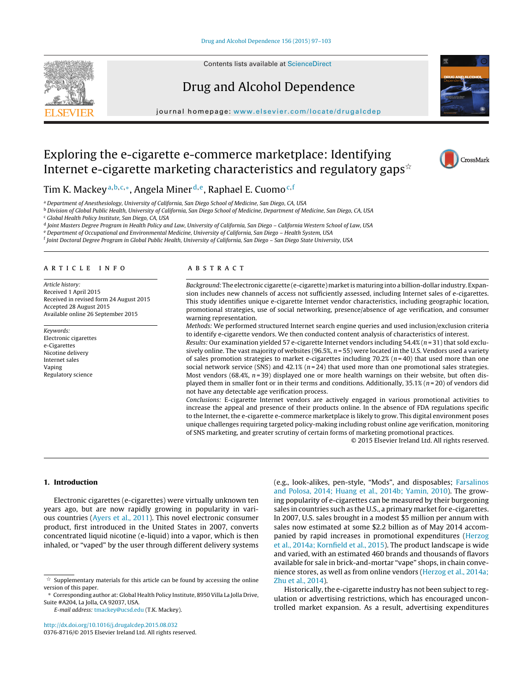

Contents lists available at [ScienceDirect](http://www.sciencedirect.com/science/journal/03768716)

# Drug and Alcohol Dependence





CrossMark

# Exploring the e-cigarette e-commerce marketplace: Identifying Internet e-cigarette marketing characteristics and regulatory gaps $^{\star}$

Tim K. Mackey<sup>a, b, c,∗</sup>, Angela Miner<sup>d, e</sup>, Raphael E. Cuomo<sup>c, f</sup>

<sup>a</sup> Department of Anesthesiology, University of California, San Diego School of Medicine, San Diego, CA, USA

<sup>b</sup> Division of Global Public Health, University of California, San Diego School of Medicine, Department of Medicine, San Diego, CA, USA

<sup>c</sup> Global Health Policy Institute, San Diego, CA, USA

<sup>d</sup> Joint Masters Degree Program in Health Policy and Law, University of California, San Diego – California Western School of Law, USA

<sup>e</sup> Department of Occupational and Environmental Medicine, University of California, San Diego – Health System, USA

<sup>f</sup> Joint Doctoral Degree Program in Global Public Health, University of California, San Diego – San Diego State University, USA

# article info

Article history: Received 1 April 2015 Received in revised form 24 August 2015 Accepted 28 August 2015 Available online 26 September 2015

Keywords: Electronic cigarettes e-Cigarettes Nicotine delivery Internet sales Vaping Regulatory science

# **ABSTRACT**

Background: The electronic cigarette (e-cigarette) market is maturing into a billion-dollar industry. Expansion includes new channels of access not sufficiently assessed, including Internet sales of e-cigarettes. This study identifies unique e-cigarette Internet vendor characteristics, including geographic location, promotional strategies, use of social networking, presence/absence of age verification, and consumer warning representation.

Methods: We performed structured Internet search engine queries and used inclusion/exclusion criteria to identify e-cigarette vendors. We then conducted content analysis of characteristics of interest.

Results: Our examination yielded 57 e-cigarette Internet vendors including 54.4% ( $n = 31$ ) that sold exclusively online. The vast majority of websites (96.5%,  $n = 55$ ) were located in the U.S. Vendors used a variety of sales promotion strategies to market e-cigarettes including  $70.2\%$  ( $n=40$ ) that used more than one social network service (SNS) and 42.1% ( $n = 24$ ) that used more than one promotional sales strategies. Most vendors (68.4%,  $n=39$ ) displayed one or more health warnings on their website, but often displayed them in smaller font or in their terms and conditions. Additionally, 35.1% ( $n = 20$ ) of vendors did not have any detectable age verification process.

Conclusions: E-cigarette Internet vendors are actively engaged in various promotional activities to increase the appeal and presence of their products online. In the absence of FDA regulations specific to the Internet, the e-cigarette e-commerce marketplace is likely to grow. This digital environment poses unique challenges requiring targeted policy-making including robust online age verification, monitoring of SNS marketing, and greater scrutiny of certain forms of marketing promotional practices.

© 2015 Elsevier Ireland Ltd. All rights reserved.

# **1. Introduction**

Electronic cigarettes (e-cigarettes) were virtually unknown ten years ago, but are now rapidly growing in popularity in various countries [\(Ayers et al., 2011\).](#page-6-0) This novel electronic consumer product, first introduced in the United States in 2007, converts concentrated liquid nicotine (e-liquid) into a vapor, which is then inhaled, or "vaped" by the user through different delivery systems

E-mail address: [tmackey@ucsd.edu](mailto:tmackey@ucsd.edu) (T.K. Mackey).

[http://dx.doi.org/10.1016/j.drugalcdep.2015.08.032](dx.doi.org/10.1016/j.drugalcdep.2015.08.032) 0376-8716/© 2015 Elsevier Ireland Ltd. All rights reserved. (e.g., look-alikes, pen-style, "Mods", and disposables; [Farsalinos](#page-6-0) [and Polosa, 2014; Huang et al., 2014b; Yamin, 2010\).](#page-6-0) The growing popularity of e-cigarettes can be measured by their burgeoning sales in countries such as the U.S., a primary market for e-cigarettes. In 2007, U.S. sales brought in a modest \$5 million per annum with sales now estimated at some \$2.2 billion as of May 2014 accompanied by rapid increases in promotional expenditures [\(Herzog](#page-6-0) [et al., 2014a; Kornfield et al., 2015\).](#page-6-0) The product landscape is wide and varied, with an estimated 460 brands and thousands of flavors available for sale in brick-and-mortar "vape" shops, in chain convenience stores, as well as from online vendors [\(Herzog et al., 2014a;](#page-6-0) [Zhu et al., 2014\).](#page-6-0)

Historically, the e-cigarette industry has not been subject to regulation or advertising restrictions, which has encouraged uncontrolled market expansion. As a result, advertising expenditures

 $\overline{\mathbf{x}}$  Supplementary materials for this article can be found by accessing the online version of this paper.

<sup>∗</sup> Corresponding author at: Global Health Policy Institute, 8950 Villa La Jolla Drive, Suite #A204, La Jolla, CA 92037, USA.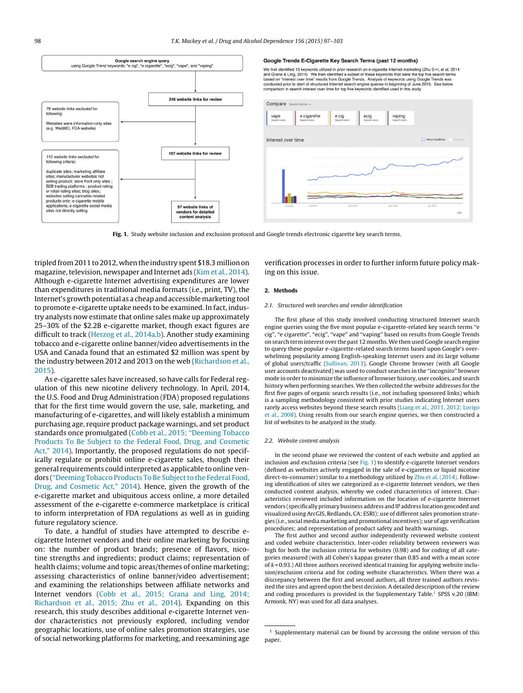

#### Google Trends E-Cigarette Key Search Terms (past 12 months)

We first identified 13 keywords utilized in prior research on e-cigarette Internet marketing (Zhu S-H, et al, 2014<br>and Grana & Ling, 2014). We then identified a subset of these keywords that were the top five search terms<br>



**Fig. 1.** Study website inclusion and exclusion protocol and Google trends electronic cigarette key search terms.

tripled from 2011 to 2012, when the industry spent \$18.3 million on magazine, television, newspaper and Internet ads [\(Kim et al., 2014\).](#page-6-0) Although e-cigarette Internet advertising expenditures are lower than expenditures in traditional media formats (i.e., print, TV), the Internet's growth potential as a cheap and accessiblemarketing tool to promote e-cigarette uptake needs to be examined. In fact, industry analysts now estimate that online sales make up approximately 25–30% of the \$2.2B e-cigarette market, though exact figures are difficult to track [\(Herzog et al., 2014a,b\).](#page-6-0) Another study examining tobacco and e-cigarette online banner/video advertisements in the USA and Canada found that an estimated \$2 million was spent by the industry between 2012 and 2013 on the web [\(Richardson et al.,](#page-6-0) [2015\).](#page-6-0)

As e-cigarette sales have increased, so have calls for Federal regulation of this new nicotine delivery technology. In April, 2014, the U.S. Food and Drug Administration (FDA) proposed regulations that for the first time would govern the use, sale, marketing, and manufacturing of e-cigarettes, and will likely establish a minimum purchasing age, require product package warnings, and set product standards once promulgated [\(Cobb et al., 2015; "Deeming Tobacco](#page-6-0) [Products To Be Subject to the Federal Food, Drug, and Cosmetic](#page-6-0) [Act," 2014\).](#page-6-0) Importantly, the proposed regulations do not specifically regulate or prohibit online e-cigarette sales, though their general requirements could interpreted as applicable to online vendors [\("Deeming Tobacco Products To Be Subject to the Federal Food,](#page-6-0) [Drug, and Cosmetic Act," 2014\).](#page-6-0) Hence, given the growth of the e-cigarette market and ubiquitous access online, a more detailed assessment of the e-cigarette e-commerce marketplace is critical to inform interpretation of FDA regulations as well as in guiding future regulatory science.

To date, a handful of studies have attempted to describe ecigarette Internet vendors and their online marketing by focusing on: the number of product brands; presence of flavors, nicotine strengths and ingredients; product claims; representation of health claims; volume and topic areas/themes of online marketing; assessing characteristics of online banner/video advertisement; and examining the relationships between affiliate networks and Internet vendors ([Cobb et al., 2015; Grana and Ling, 2014;](#page-6-0) [Richardson et al., 2015; Zhu et al., 2014\).](#page-6-0) Expanding on this research, this study describes additional e-cigarette Internet vendor characteristics not previously explored, including vendor geographic locations, use of online sales promotion strategies, use of social networking platforms for marketing, and reexamining age

verification processes in order to further inform future policy making on this issue.

#### **2. Methods**

#### 2.1. Structured web searches and vendor identification

The first phase of this study involved conducting structured Internet search engine queries using the five most popular e-cigarette-related key search terms "e cig", "e cigarette", "ecig", "vape" and "vaping" based on results from Google Trends on search term interest over the past 12 months. We then used Google search engine to query these popular e-cigarette-related search terms based upon Google's overwhelming popularity among English-speaking Internet users and its large volume of global users/traffic [\(Sullivan, 2013\).](#page-6-0) Google Chrome browser (with all Google user accounts deactivated) was used to conduct searches in the "incognito" browser mode in order to minimize the influence of browser history, user cookies, and search history when performing searches. We then collected the website addresses for the first five pages of organic search results (i.e., not including sponsored links) which is a sampling methodology consistent with prior studies indicating Internet users rarely access websites beyond these search results ([Liang et al., 2011, 2012; Lorigo](#page-6-0) [et al., 2008\).](#page-6-0) Using results from our search engine queries, we then constructed a list of websites to be analyzed in the study.

#### 2.2. Website content analysis

In the second phase we reviewed the content of each website and applied an inclusion and exclusion criteria (see Fig. 1) to identify e-cigarette Internet vendors (defined as websites actively engaged in the sale of e-cigarettes or liquid nicotine direct-to-consumer) similar to a methodology utilized by [Zhu et al. \(2014\). F](#page-6-0)ollowing identification of sites we categorized as e-cigarette Internet vendors, we then conducted content analysis, whereby we coded characteristics of interest. Characteristics reviewed included information on the location of e-cigarette Internet vendors (specifically primary business address and IP address location geocoded and visualized using ArcGIS, Redlands, CA: ESRI); use of different sales promotion strategies (i.e., social media marketing and promotional incentives); use of age verification procedures; and representation of product safety and health warnings.

The first author and second author independently reviewed website content and coded website characteristics. Inter-coder reliability between reviewers was high for both the inclusion criteria for websites (0.98) and for coding of all categories measured (with all Cohen's kappas greater than 0.85 and with a mean score of  $k = 0.93$ .) All three authors received identical training for applying website inclusion/exclusion criteria and for coding website characteristics. When there was a discrepancy between the first and second authors, all three trained authors revisited the sites and agreed upon the best decision. A detailed description of the review and coding procedures is provided in the Supplementary Table.<sup>1</sup> SPSS v.20 (IBM: Armonk, NY) was used for all data analyses.

 $^{\rm 1}$  Supplementary material can be found by accessing the online version of this paper.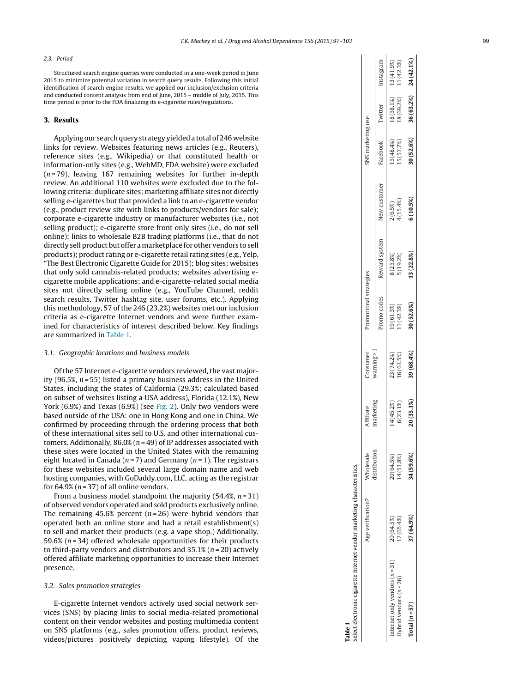## 2.3. Period

Structured search engine queries were conducted in a one-week period in June 2015 to minimize potential variation in search query results. Following this initial identification of search engine results, we applied our inclusion/exclusion criteria and conducted content analysis from end of June, 2015 – middle of July, 2015. This time period is prior to the FDA finalizing its e-cigarette rules/regulations.

## **3. Results**

Applying our search query strategy yielded a total of 246 website links for review. Websites featuring news articles (e.g., Reuters), reference sites (e.g., Wikipedia) or that constituted health or information-only sites (e.g., WebMD, FDA website) were excluded  $(n=79)$ , leaving 167 remaining websites for further in-depth review. An additional 110 websites were excluded due to the following criteria: duplicate sites; marketing affiliate sites not directly selling e-cigarettes but that provided a link to an e-cigarette vendor (e.g., product review site with links to products/vendors for sale); corporate e-cigarette industry or manufacturer websites (i.e., not selling product); e-cigarette store front only sites (i.e., do not sell online); links to wholesale B2B trading platforms (i.e., that do not directly sell product but offer amarketplace for other vendors to sell products); product rating or e-cigarette retail rating sites (e.g., Yelp, "The Best Electronic Cigarette Guide for 2015); blog sites; websites that only sold cannabis-related products; websites advertising ecigarette mobile applications; and e-cigarette-related social media sites not directly selling online (e.g., YouTube Channel, reddit search results, Twitter hashtag site, user forums, etc.). Applying this methodology, 57 of the 246 (23.2%) websites met our inclusion criteria as e-cigarette Internet vendors and were further examined for characteristics of interest described below. Key findings are summarized in Table 1 .

# 3.1. Geographic locations and business models

Of the 57 Internet e-cigarette vendors reviewed, the vast majority (96.5%,  $n = 55$ ) listed a primary business address in the United States, including the states of California (29.3%; calculated based on subset of websites listing a USA address), Florida (12.1%), New York (6.9%) and Texas (6.9%) (see [Fig. 2\).](#page-3-0) Only two vendors were based outside of the USA: one in Hong Kong and one in China. We confirmed by proceeding through the ordering process that both of these international sites sell to U.S. and other international customers. Additionally,  $86.0\%$  ( $n = 49$ ) of IP addresses associated with these sites were located in the United States with the remaining eight located in Canada ( $n=7$ ) and Germany ( $n=1$ ). The registrars for these websites included several large domain name and web hosting companies, with GoDaddy.com, LLC, acting as the registrar for 64.9% ( $n = 37$ ) of all online vendors.

From a business model standpoint the majority (54.4%,  $n = 31$ ) of observed vendors operated and sold products exclusively online. The remaining 45.6% percent ( $n$ =26) were hybrid vendors that operated both an online store and had a retail establishment(s) to sell and market their products (e.g. a vape shop.) Additionally, 59.6% ( n = 34) offered wholesale opportunities for their products to third-party vendors and distributors and  $35.1\%$  ( $n = 20$ ) actively offered affiliate marketing opportunities to increase their Internet presence.

# 3.2. Sales promotion strategies

E-cigarette Internet vendors actively used social network services (SNS) by placing links to social media-related promotional content on their vendor websites and posting multimedia content on SNS platforms (e.g., sales promotion offers, product reviews, videos/pictures positively depicting vaping lifestyle). Of the

| Table 1                                                               |                   |                           |                        |                          |                          |                          |                         |                          |                            |                          |
|-----------------------------------------------------------------------|-------------------|---------------------------|------------------------|--------------------------|--------------------------|--------------------------|-------------------------|--------------------------|----------------------------|--------------------------|
| elect electronic cigarette Internet vendor marketing characteristics. |                   |                           |                        |                          |                          |                          |                         |                          |                            |                          |
|                                                                       | Age verification? | distribution<br>Wholesale | narketing<br>Yffiliate | varning > 1<br>Consumer  | Promotional strategies   |                          |                         | NS marketing use         |                            |                          |
|                                                                       |                   |                           |                        |                          | romo codes               | Reward system            | New customer            | Facebook                 | Twitter                    | Instagram                |
| nternet only vendors $(n=31)$                                         | 20(64.5%)         | 20(64.5%)                 | 4(45.2%)               |                          |                          |                          |                         |                          |                            |                          |
| ybrid vendors $(n=26)$                                                | 7(65.4%)          | 4(53.8%)                  | 5(23.1%)               | 23 (74.2%)<br>16 (61.5%) | 19 (61.3%)<br>'1 (42.3%) | $8(25.8%)$<br>$5(19.2%)$ | $2(6.5%)$<br>$1(15.4%)$ | I5 (48.4%)<br>I5 (57.7%) | $18(58.1%)$<br>$18(69.2%)$ | 13 (41.9%)<br>11 (42.3%) |
| Total $(n = 57)$                                                      | 37 (64.9%)        | 34 (59.6%)                | 70 (35.1%)             | 39 (68.4%)               | 30 (52.6%)               | (22.8%                   | $6(10.5\%)$             | 30 (52.6%)               | 36 (63.2%)                 | 24 (42.1%)               |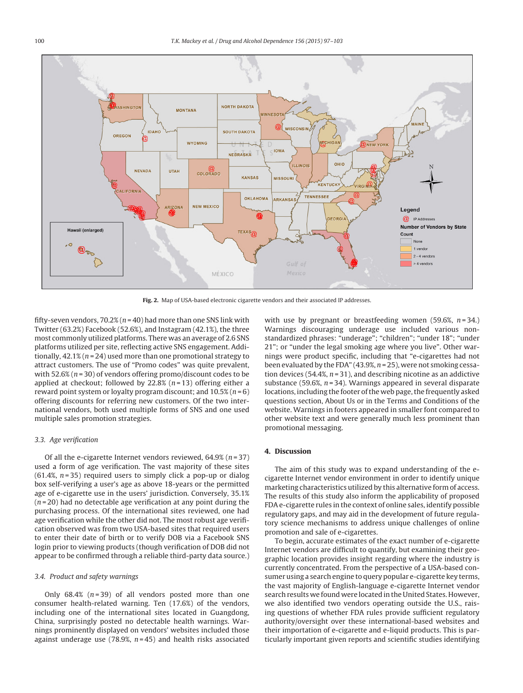<span id="page-3-0"></span>

**Fig. 2.** Map of USA-based electronic cigarette vendors and their associated IP addresses.

fifty-seven vendors, 70.2% ( $n = 40$ ) had more than one SNS link with Twitter (63.2%) Facebook (52.6%), and Instagram (42.1%), the three most commonly utilized platforms. There was an average of 2.6 SNS platforms utilized per site, reflecting active SNS engagement. Additionally,  $42.1\%$  ( $n = 24$ ) used more than one promotional strategy to attract customers. The use of "Promo codes" was quite prevalent, with 52.6% ( $n = 30$ ) of vendors offering promo/discount codes to be applied at checkout; followed by 22.8%  $(n=13)$  offering either a reward point system or loyalty program discount; and  $10.5\%$  ( $n = 6$ ) offering discounts for referring new customers. Of the two international vendors, both used multiple forms of SNS and one used multiple sales promotion strategies.

# 3.3. Age verification

Of all the e-cigarette Internet vendors reviewed,  $64.9\%$  ( $n = 37$ ) used a form of age verification. The vast majority of these sites  $(61.4\%, n=35)$  required users to simply click a pop-up or dialog box self-verifying a user's age as above 18-years or the permitted age of e-cigarette use in the users' jurisdiction. Conversely, 35.1%  $(n=20)$  had no detectable age verification at any point during the purchasing process. Of the international sites reviewed, one had age verification while the other did not. The most robust age verification observed was from two USA-based sites that required users to enter their date of birth or to verify DOB via a Facebook SNS login prior to viewing products (though verification of DOB did not appear to be confirmed through a reliable third-party data source.)

### 3.4. Product and safety warnings

Only  $68.4\%$  ( $n=39$ ) of all vendors posted more than one consumer health-related warning. Ten (17.6%) of the vendors, including one of the international sites located in Guangdong, China, surprisingly posted no detectable health warnings. Warnings prominently displayed on vendors' websites included those against underage use (78.9%,  $n = 45$ ) and health risks associated

with use by pregnant or breastfeeding women (59.6%,  $n=34$ .) Warnings discouraging underage use included various nonstandardized phrases: "underage"; "children"; "under 18"; "under 21"; or "under the legal smoking age where you live". Other warnings were product specific, including that "e-cigarettes had not been evaluated by the FDA" (43.9%,  $n = 25$ ), were not smoking cessation devices (54.4%,  $n = 31$ ), and describing nicotine as an addictive substance (59.6%,  $n = 34$ ). Warnings appeared in several disparate locations, including the footer of the web page, the frequently asked questions section, About Us or in the Terms and Conditions of the website. Warnings in footers appeared in smaller font compared to other website text and were generally much less prominent than promotional messaging.

# **4. Discussion**

The aim of this study was to expand understanding of the ecigarette Internet vendor environment in order to identify unique marketing characteristics utilized by this alternative form of access. The results of this study also inform the applicability of proposed FDA e-cigarette rules in the context of online sales, identify possible regulatory gaps, and may aid in the development of future regulatory science mechanisms to address unique challenges of online promotion and sale of e-cigarettes.

To begin, accurate estimates of the exact number of e-cigarette Internet vendors are difficult to quantify, but examining their geographic location provides insight regarding where the industry is currently concentrated. From the perspective of a USA-based consumer using a search engine to query popular e-cigarette key terms, the vast majority of English-language e-cigarette Internet vendor search results we found were located in the United States. However, we also identified two vendors operating outside the U.S., raising questions of whether FDA rules provide sufficient regulatory authority/oversight over these international-based websites and their importation of e-cigarette and e-liquid products. This is particularly important given reports and scientific studies identifying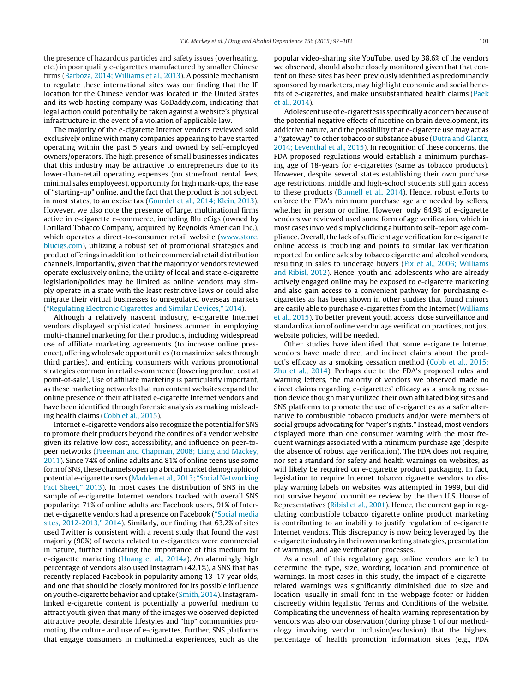the presence of hazardous particles and safety issues (overheating, etc.) in poor quality e-cigarettes manufactured by smaller Chinese firms ([Barboza, 2014; Williams et al., 2013\).](#page-6-0) A possible mechanism to regulate these international sites was our finding that the IP location for the Chinese vendor was located in the United States and its web hosting company was GoDaddy.com, indicating that legal action could potentially be taken against a website's physical infrastructure in the event of a violation of applicable law.

The majority of the e-cigarette Internet vendors reviewed sold exclusively online with many companies appearing to have started operating within the past 5 years and owned by self-employed owners/operators. The high presence of small businesses indicates that this industry may be attractive to entrepreneurs due to its lower-than-retail operating expenses (no storefront rental fees, minimal sales employees), opportunity for high mark-ups, the ease of "starting-up" online, and the fact that the product is not subject, in most states, to an excise tax [\(Gourdet et al., 2014; Klein, 2013\).](#page-6-0) However, we also note the presence of large, multinational firms active in e-cigarette e-commerce, including Blu eCigs (owned by Lorillard Tobacco Company, acquired by Reynolds American Inc.), which operates a direct-to-consumer retail website ([www.store.](http://www.store.blucigs.com/) [blucigs.com\)](http://www.store.blucigs.com/), utilizing a robust set of promotional strategies and product offerings in addition to their commercial retail distribution channels. Importantly, given that the majority of vendors reviewed operate exclusively online, the utility of local and state e-cigarette legislation/policies may be limited as online vendors may simply operate in a state with the least restrictive laws or could also migrate their virtual businesses to unregulated overseas markets (["Regulating Electronic Cigarettes and Similar Devices," 2014\).](#page-6-0)

Although a relatively nascent industry, e-cigarette Internet vendors displayed sophisticated business acumen in employing multi-channel marketing for their products, including widespread use of affiliate marketing agreements (to increase online presence), offering wholesale opportunities (to maximize sales through third parties), and enticing consumers with various promotional strategies common in retail e-commerce (lowering product cost at point-of-sale). Use of affiliate marketing is particularly important, as these marketing networks that run content websites expand the online presence of their affiliated e-cigarette Internet vendors and have been identified through forensic analysis as making misleading health claims ([Cobb et al., 2015\).](#page-6-0)

Internet e-cigarette vendors also recognize the potential for SNS to promote their products beyond the confines of a vendor website given its relative low cost, accessibility, and influence on peer-topeer networks [\(Freeman and Chapman, 2008; Liang and Mackey,](#page-6-0) [2011\).](#page-6-0) Since 74% of online adults and 81% of online teens use some form of SNS, these channels open up a broad market demographic of potential e-cigarette users [\(Madden et al., 2013; "Social Networking](#page-6-0) [Fact Sheet," 2013\).](#page-6-0) In most cases the distribution of SNS in the sample of e-cigarette Internet vendors tracked with overall SNS popularity: 71% of online adults are Facebook users, 91% of Internet e-cigarette vendors had a presence on Facebook (["Social media](#page-6-0) [sites, 2012-2013," 2014\).](#page-6-0) Similarly, our finding that 63.2% of sites used Twitter is consistent with a recent study that found the vast majority (90%) of tweets related to e-cigarettes were commercial in nature, further indicating the importance of this medium for e-cigarette marketing [\(Huang et al., 2014a\).](#page-6-0) An alarmingly high percentage of vendors also used Instagram (42.1%), a SNS that has recently replaced Facebook in popularity among 13–17 year olds, and one that should be closely monitored for its possible influence on youth e-cigarette behavior and uptake [\(Smith, 2014\).](#page-6-0) Instagramlinked e-cigarette content is potentially a powerful medium to attract youth given that many of the images we observed depicted attractive people, desirable lifestyles and "hip" communities promoting the culture and use of e-cigarettes. Further, SNS platforms that engage consumers in multimedia experiences, such as the popular video-sharing site YouTube, used by 38.6% of the vendors we observed, should also be closely monitored given that that content on these sites has been previously identified as predominantly sponsored by marketers, may highlight economic and social benefits of e-cigarettes, and make unsubstantiated health claims ([Paek](#page-6-0) [et al., 2014\).](#page-6-0)

Adolescent use of e-cigarettes is specifically a concern because of the potential negative effects of nicotine on brain development, its addictive nature, and the possibility that e-cigarette use may act as a "gateway" to other tobacco or substance abuse ([Dutra and Glantz,](#page-6-0) [2014; Leventhal et al., 2015\).](#page-6-0) In recognition of these concerns, the FDA proposed regulations would establish a minimum purchasing age of 18-years for e-cigarettes (same as tobacco products). However, despite several states establishing their own purchase age restrictions, middle and high-school students still gain access to these products ([Bunnell et al., 2014\).](#page-6-0) Hence, robust efforts to enforce the FDA's minimum purchase age are needed by sellers, whether in person or online. However, only 64.9% of e-cigarette vendors we reviewed used some form of age verification, which in most cases involved simply clicking a button to self-report age compliance. Overall, the lack of sufficient age verification for e-cigarette online access is troubling and points to similar lax verification reported for online sales by tobacco cigarette and alcohol vendors, resulting in sales to underage buyers ([Fix et al., 2006; Williams](#page-6-0) [and Ribisl, 2012\).](#page-6-0) Hence, youth and adolescents who are already actively engaged online may be exposed to e-cigarette marketing and also gain access to a convenient pathway for purchasing ecigarettes as has been shown in other studies that found minors are easily able to purchase e-cigarettes from the Internet ([Williams](#page-6-0) [et al., 2015\).](#page-6-0) To better prevent youth access, close surveillance and standardization of online vendor age verification practices, not just website policies, will be needed.

Other studies have identified that some e-cigarette Internet vendors have made direct and indirect claims about the product's efficacy as a smoking cessation method ([Cobb et al., 2015;](#page-6-0) [Zhu et al., 2014\).](#page-6-0) Perhaps due to the FDA's proposed rules and warning letters, the majority of vendors we observed made no direct claims regarding e-cigarettes' efficacy as a smoking cessation device though many utilized their own affiliated blog sites and SNS platforms to promote the use of e-cigarettes as a safer alternative to combustible tobacco products and/or were members of social groups advocating for "vaper's rights." Instead, most vendors displayed more than one consumer warning with the most frequent warnings associated with a minimum purchase age (despite the absence of robust age verification). The FDA does not require, nor set a standard for safety and health warnings on websites, as will likely be required on e-cigarette product packaging. In fact, legislation to require Internet tobacco cigarette vendors to display warning labels on websites was attempted in 1999, but did not survive beyond committee review by the then U.S. House of Representatives [\(Ribisl et al., 2001\).](#page-6-0) Hence, the current gap in regulating combustible tobacco cigarette online product marketing is contributing to an inability to justify regulation of e-cigarette Internet vendors. This discrepancy is now being leveraged by the e-cigarette industry in their ownmarketing strategies, presentation of warnings, and age verification processes.

As a result of this regulatory gap, online vendors are left to determine the type, size, wording, location and prominence of warnings. In most cases in this study, the impact of e-cigaretterelated warnings was significantly diminished due to size and location, usually in small font in the webpage footer or hidden discreetly within legalistic Terms and Conditions of the website. Complicating the unevenness of health warning representation by vendors was also our observation (during phase 1 of our methodology involving vendor inclusion/exclusion) that the highest percentage of health promotion information sites (e.g., FDA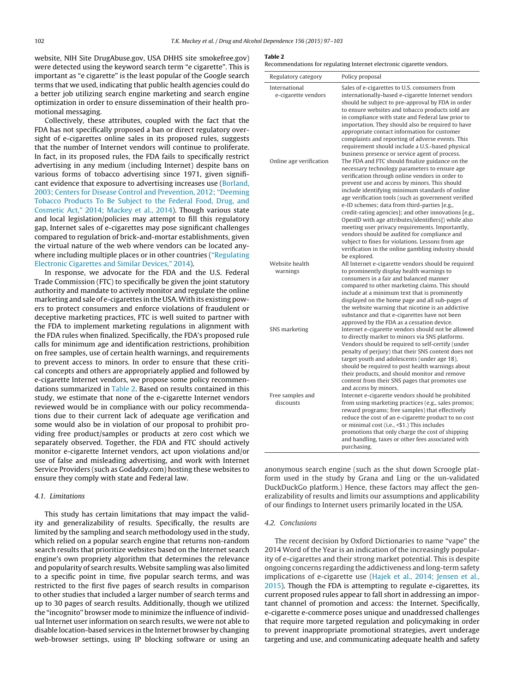website, NIH Site DrugAbuse.gov, USA DHHS site smokefree.gov) were detected using the keyword search term "e cigarette". This is important as "e cigarette" is the least popular of the Google search terms that we used, indicating that public health agencies could do a better job utilizing search engine marketing and search engine optimization in order to ensure dissemination of their health promotional messaging.

Collectively, these attributes, coupled with the fact that the FDA has not specifically proposed a ban or direct regulatory oversight of e-cigarettes online sales in its proposed rules, suggests that the number of Internet vendors will continue to proliferate. In fact, in its proposed rules, the FDA fails to specifically restrict advertising in any medium (including Internet) despite bans on various forms of tobacco advertising since 1971, given significant evidence that exposure to advertising increases use ([Borland,](#page-6-0) [2003; Centers for Disease Control and Prevention, 2012; "Deeming](#page-6-0) [Tobacco Products To Be Subject to the Federal Food, Drug, and](#page-6-0) [Cosmetic Act," 2014; Mackey et al., 2014\).](#page-6-0) Though various state and local legislation/policies may attempt to fill this regulatory gap, Internet sales of e-cigarettes may pose significant challenges compared to regulation of brick-and-mortar establishments, given the virtual nature of the web where vendors can be located anywhere including multiple places or in other countries [\("Regulating](#page-6-0) [Electronic Cigarettes and Similar Devices," 2014\).](#page-6-0)

In response, we advocate for the FDA and the U.S. Federal Trade Commission (FTC) to specifically be given the joint statutory authority and mandate to actively monitor and regulate the online marketing and sale of e-cigarettes in the USA.With its existing powers to protect consumers and enforce violations of fraudulent or deceptive marketing practices, FTC is well suited to partner with the FDA to implement marketing regulations in alignment with the FDA rules when finalized. Specifically, the FDA's proposed rule calls for minimum age and identification restrictions, prohibition on free samples, use of certain health warnings, and requirements to prevent access to minors. In order to ensure that these critical concepts and others are appropriately applied and followed by e-cigarette Internet vendors, we propose some policy recommendations summarized in Table 2. Based on results contained in this study, we estimate that none of the e-cigarette Internet vendors reviewed would be in compliance with our policy recommendations due to their current lack of adequate age verification and some would also be in violation of our proposal to prohibit providing free product/samples or products at zero cost which we separately observed. Together, the FDA and FTC should actively monitor e-cigarette Internet vendors, act upon violations and/or use of false and misleading advertising, and work with Internet Service Providers (such as Godaddy.com) hosting these websites to ensure they comply with state and Federal law.

#### 4.1. Limitations

This study has certain limitations that may impact the validity and generalizability of results. Specifically, the results are limited by the sampling and search methodology used in the study, which relied on a popular search engine that returns non-random search results that prioritize websites based on the Internet search engine's own propriety algorithm that determines the relevance and popularity of search results. Website sampling was also limited to a specific point in time, five popular search terms, and was restricted to the first five pages of search results in comparison to other studies that included a larger number of search terms and up to 30 pages of search results. Additionally, though we utilized the "incognito" browser mode to minimize the influence of individual Internet user information on search results, we were not able to disable location-based services in the Internet browser by changing web-browser settings, using IP blocking software or using an

#### **Table 2**

| Regulatory category                  | Policy proposal                                                                                                                                                                                                                                                                                                                                                                                                                                                                                                                                                                                                                                                                                               |
|--------------------------------------|---------------------------------------------------------------------------------------------------------------------------------------------------------------------------------------------------------------------------------------------------------------------------------------------------------------------------------------------------------------------------------------------------------------------------------------------------------------------------------------------------------------------------------------------------------------------------------------------------------------------------------------------------------------------------------------------------------------|
| International<br>e-cigarette vendors | Sales of e-cigarettes to U.S. consumers from<br>internationally-based e-cigarette Internet vendors<br>should be subject to pre-approval by FDA in order<br>to ensure websites and tobacco products sold are<br>in compliance with state and Federal law prior to<br>importation. They should also be required to have<br>appropriate contact information for customer<br>complaints and reporting of adverse events. This<br>requirement should include a U.S.-based physical<br>business presence or service agent of process.                                                                                                                                                                               |
| Online age verification              | The FDA and FTC should finalize guidance on the<br>necessary technology parameters to ensure age<br>verification through online vendors in order to<br>prevent use and access by minors. This should<br>include identifying minimum standards of online<br>age verification tools (such as government verified<br>e-ID schemes; data from third-parties [e.g.,<br>credit-rating agencies]; and other innovations [e.g.,<br>OpenID with age attributes/identifiers]) while also<br>meeting user privacy requirements. Importantly,<br>vendors should be audited for compliance and<br>subject to fines for violations. Lessons from age<br>verification in the online gambling industry should<br>be explored. |
| Website health<br>warnings           | All Internet e-cigarette vendors should be required<br>to prominently display health warnings to<br>consumers in a fair and balanced manner<br>compared to other marketing claims. This should<br>include at a minimum text that is prominently<br>displayed on the home page and all sub-pages of<br>the website warning that nicotine is an addictive<br>substance and that e-cigarettes have not been<br>approved by the FDA as a cessation device.                                                                                                                                                                                                                                                        |
| SNS marketing                        | Internet e-cigarette vendors should not be allowed<br>to directly market to minors via SNS platforms.<br>Vendors should be required to self-certify (under<br>penalty of perjury) that their SNS content does not<br>target youth and adolescents (under age 18),<br>should be required to post health warnings about<br>their products, and should monitor and remove<br>content from their SNS pages that promotes use<br>and access by minors.                                                                                                                                                                                                                                                             |
| Free samples and<br>discounts        | Internet e-cigarette vendors should be prohibited<br>from using marketing practices (e.g., sales promos;<br>reward programs; free samples) that effectively<br>reduce the cost of an e-cigarette product to no cost<br>or minimal cost (i.e., <\$1.) This includes<br>promotions that only charge the cost of shipping<br>and handling, taxes or other fees associated with<br>purchasing.                                                                                                                                                                                                                                                                                                                    |

anonymous search engine (such as the shut down Scroogle platform used in the study by Grana and Ling or the un-validated DuckDuckGo platform.) Hence, these factors may affect the generalizability of results and limits our assumptions and applicability of our findings to Internet users primarily located in the USA.

## 4.2. Conclusions

The recent decision by Oxford Dictionaries to name "vape" the 2014 Word of the Year is an indication of the increasingly popularity of e-cigarettes and their strong market potential. This is despite ongoing concerns regarding the addictiveness and long-term safety implications of e-cigarette use [\(Hajek et al., 2014; Jensen et al.,](#page-6-0) [2015\).](#page-6-0) Though the FDA is attempting to regulate e-cigarettes, its current proposed rules appear to fall short in addressing an important channel of promotion and access: the Internet. Specifically, e-cigarette e-commerce poses unique and unaddressed challenges that require more targeted regulation and policymaking in order to prevent inappropriate promotional strategies, avert underage targeting and use, and communicating adequate health and safety